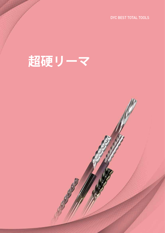DYC BEST TOTAL TOOLS

# **超硬リーマ**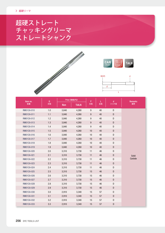# 超硬ストレート チャッキングリーマ ストレートシャンク







| Item no.          | D   |            | Price 〈価格(円)〉 |                           | L  | d           | <b>Remarks</b> |
|-------------------|-----|------------|---------------|---------------------------|----|-------------|----------------|
| 型番                | 刃径  | <b>Non</b> | <b>TiALN</b>  | $\boldsymbol{\ell}$<br>刃長 | 全長 | シャンク径       | 備考             |
| RM01CA-010        | 1.0 | 3,840      | 4,260         | 9                         | 40 | D           |                |
| RM01CA-011        | 1.1 | 3,840      | 4,260         | $\boldsymbol{9}$          | 40 | $\mathsf D$ |                |
| RM01CA-012        | 1.2 | 3,840      | 4,260         | 9                         | 40 | D           |                |
| RM01CA-013        | 1.3 | 3,840      | 4,260         | 9                         | 40 | D           |                |
| RM01CA-014        | 1.4 | 3,840      | 4,260         | $\boldsymbol{9}$          | 40 | D           |                |
| RM01CA-015        | 1.5 | 3,840      | 4,260         | 10                        | 40 | D           |                |
| RM01CA-016        | 1.6 | 3,840      | 4,260         | $10$                      | 40 | D           |                |
| <b>RM01CA-017</b> | 1.7 | 3,840      | 4,260         | 10                        | 40 | D           | Solid          |
| RM01CA-018        | 1.8 | 3,840      | 4,260         | 10                        | 40 | D           |                |
| RM01CA-019        | 1.9 | 3,840      | 4,260         | 10                        | 40 | ${\sf D}$   |                |
| RM01CA-020        | 2.0 | 3,310      | 3,730         | 11                        | 46 | D           |                |
| RM01CA-021        | 2.1 | 3,310      | 3,730         | 11                        | 46 | D           |                |
| RM01CA-022        | 2.2 | 3,310      | 3,730         | 11                        | 46 | D           | Carbide        |
| RM01CA-023        | 2.3 | 3,310      | 3,730         | 11                        | 46 | D           |                |
| RM01CA-024        | 2.4 | 3,310      | 3,730         | 11                        | 46 | D           |                |
| <b>RM01CA-025</b> | 2.5 | 3,310      | 3,730         | 15                        | 46 | D           |                |
| RM01CA-026        | 2.6 | 3,310      | 3,730         | 15                        | 46 | D           |                |
| RM01CA-027        | 2.7 | 3,310      | 3,730         | 15                        | 46 | $\mathsf D$ |                |
| RM01CA-028        | 2.8 | 3,310      | 3,730         | 15                        | 46 | D           |                |
| RM01CA-029        | 2.9 | 3,310      | 3,730         | 15                        | 46 | ${\sf D}$   |                |
| RM01CA-030        | 3.0 | 2,910      | 3,340         | 15                        | 57 | D           |                |
| RM01CA-031        | 3.1 | 2,910      | 3,340         | 15                        | 57 | $\mathsf D$ |                |
| RM01CA-032        | 3.2 | 2,910      | 3,340         | 15                        | 57 | D           |                |
| RM01CA-033        | 3.3 | 2,910      | 3,340         | 15                        | 57 | D           |                |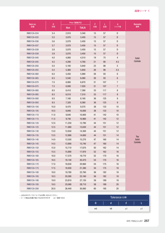| Item no.   | D       |            | Price 〈価格(円)〉 | $\boldsymbol{\ell}$ | L   | d                | <b>Remarks</b> |
|------------|---------|------------|---------------|---------------------|-----|------------------|----------------|
| 型番         | 刃径      | <b>Non</b> | <b>TIALN</b>  | 刃長                  | 全長  | シャンク径            | 備考             |
| RM01CA-034 | 3.4     | 2,910      | 3,340         | 15                  | 57  | D                |                |
| RM01CA-035 | 3.5     | 3,070      | 3,450         | 15                  | 57  | D                |                |
| RM01CA-036 | 3.6     | 3,070      | 3,450         | 15                  | 57  | D                |                |
| RM01CA-037 | $3.7\,$ | 3,070      | 3,450         | 15                  | 57  | D                |                |
| RM01CA-038 | 3.8     | 3,070      | 3,450         | 15                  | 57  | D                |                |
| RM01CA-039 | 3.9     | 3,070      | 3,450         | 15                  | 57  | D                |                |
| RM01CA-040 | 4.0     | 4,060      | 4,510         | 19                  | 75  | 4                | Solid          |
| RM01CA-045 | 4.5     | 4,290      | 4,760         | 21                  | 80  | 4.5              | Carbide        |
| RM01CA-050 | $5.0\,$ | 5,160      | 5,640         | 23                  | 86  | 5                |                |
| RM01CA-055 | 5.5     | 5,360      | 5,850         | 26                  | 86  | 5.5              |                |
| RM01CA-060 | 6.0     | 5,450      | 5,990         | 26                  | 93  | 6                |                |
| RM01CA-065 | 6.5     | 5,540      | 6,080         | 26                  | 93  | 6                |                |
| RM01CA-070 | 7.0     | 6,060      | 6,870         | 31                  | 107 | 7                |                |
| RM01CA-075 | 7.5     | 6,090      | 7,020         | 31                  | 107 | $\overline{7}$   |                |
| RM01CA-080 | 8.0     | 6,410      | 7,390         | 33                  | 117 | 8                |                |
| RM01CA-085 | 8.5     | 6,510      | 7,510         | 33                  | 117 | 8                |                |
| RM01CA-090 | 9.0     | 7,160      | 8,160         | 36                  | 125 | 9                |                |
| RM01CA-095 | 9.5     | 7,320      | 8,360         | 36                  | 125 | $\boldsymbol{9}$ |                |
| RM01CA-100 | 10.0    | 8,470      | 9,570         | 38                  | 133 | 10               |                |
| RM01CA-105 | 10.5    | 8,840      | 10,000        | 38                  | 133 | $10$             |                |
| RM01CA-110 | 11.0    | 9,640      | 10,800        | 41                  | 142 | $10\,$           |                |
| RM01CA-115 | 11.5    | 9,740      | 10,960        | 41                  | 142 | 12               |                |
| RM01CA-120 | 12.0    | 11,250     | 12,780        | 44                  | 151 | 12               |                |
| RM01CA-125 | 12.5    | 11,980     | 13,630        | 44                  | 151 | 12               |                |
| RM01CA-130 | 13.0    | 12,650     | 14,300        | 44                  | 151 | 12               |                |
| RM01CA-135 | 13.5    | 12,890     | 14,600        | 44                  | 151 | $14$             | <b>Top</b>     |
| RM01CA-140 | 14.0    | 13,550     | 15,270        | 47                  | 160 | 14               | Solid          |
| RM01CA-145 | 14.5    | 13,900     | 15,740        | 47                  | 160 | $14$             | Carbide        |
| RM01CA-150 | 15.0    | 15,710     | 17,670        | 50                  | 162 | 14               |                |
| RM01CA-155 | 15.5    | 15,890     | 17,970        | 52                  | 162 | 16               |                |
| RM01CA-160 | 16.0    | 17,570     | 19,770        | 52                  | 170 | 16               |                |
| RM01CA-165 | 16.5    | 18,140     | 20,470        | 54                  | 170 | 16               |                |
| RM01CA-170 | 17.0    | 18,630     | 20,960        | 54                  | 175 | $16\,$           |                |
| RM01CA-175 | 17.5    | 18,930     | 21,380        | 54                  | 175 | 18               |                |
| RM01CA-180 | 18.0    | 19,780     | 22,760        | 56                  | 182 | $18$             |                |
| RM01CA-185 | 18.5    | 20,280     | 23,160        | 56                  | 182 | $18$             |                |
| RM01CA-190 | 19.0    | 23,810     | 27,120        | 59                  | 189 | 18               |                |
| RM01CA-195 | 19.5    | 25,090     | 28,710        | 58                  | 189 | $20\,$           |                |
| RM01CA-200 | 20.0    | 26,440     | 30,060        | 60                  | 195 | $20\,$           |                |

。上記以外のサイズについてはお問い合わせください•

•コート商品は型番の後にTiALNが付きます ex)型番-TiALN

| Tolerance (公差) |    |      |      |  |  |  |  |
|----------------|----|------|------|--|--|--|--|
|                |    |      |      |  |  |  |  |
| m <sub>5</sub> | h8 | $+1$ | $+1$ |  |  |  |  |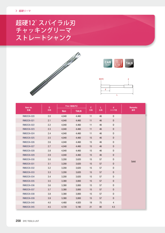# 超硬12°スパイラル刃 チャッキングリーマ ストレートシャンク







| Item no.          | D   |            | Price 〈価格(円)〉 | $\boldsymbol{\ell}$ | L  | $\mathbf d$    | <b>Remarks</b> |
|-------------------|-----|------------|---------------|---------------------|----|----------------|----------------|
| 型番                | 刃径  | <b>Non</b> | <b>TIALN</b>  | 刃長                  | 全長 | シャンク径          | 備考             |
| RM02CA-020        | 2.0 | 4,040      | 4,460         | 11                  | 46 | D              |                |
| RM02CA-021        | 2.1 | 4,040      | 4,460         | 11                  | 46 | $\mathsf D$    |                |
| RM02CA-022        | 2.2 | 4,040      | 4,460         | 11                  | 46 | D              |                |
| RM02CA-023        | 2.3 | 4,040      | 4,460         | 11                  | 46 | $\mathsf D$    |                |
| RM02CA-024        | 2.4 | 4,040      | 4,460         | 11                  | 46 | D              |                |
| RM02CA-025        | 2.5 | 4,040      | 4,460         | 15                  | 46 | D              |                |
| RM02CA-026        | 2.6 | 4,040      | 4,460         | 15                  | 46 | D              |                |
| RM02CA-027        | 2.7 | 4,040      | 4,460         | 15                  | 46 | D              |                |
| RM02CA-028        | 2.8 | 4,040      | 4,460         | 15                  | 46 | D              |                |
| RM02CA-029        | 2.9 | 4,040      | 4,460         | 15                  | 46 | D              |                |
| RM02CA-030        | 3.0 | 3,200      | 3,620         | 15                  | 57 | D              |                |
| RM02CA-031        | 3.1 | 3,200      | 3,620         | 15                  | 57 | D              | Solid          |
| RM02CA-032        | 3.2 | 3,200      | 3,620         | 15                  | 57 | D              |                |
| RM02CA-033        | 3.3 | 3,200      | 3,620         | 15                  | 57 | D              |                |
| RM02CA-034        | 3.4 | 3,200      | 3,620         | 15                  | 57 | D              |                |
| RM02CA-035        | 3.5 | 3,380      | 3,800         | 15                  | 57 | D              |                |
| RM02CA-036        | 3.6 | 3,380      | 3,800         | 15                  | 57 | D              |                |
| RM02CA-037        | 3.7 | 3,380      | 3,800         | 15                  | 57 | D              |                |
| RM02CA-038        | 3.8 | 3,380      | 3,800         | 15                  | 57 | D              |                |
| RM02CA-039        | 3.9 | 3,380      | 3,800         | 15                  | 57 | D              |                |
| RM02CA-040        | 4.0 | 4,460      | 4,920         | 19                  | 75 | $\overline{4}$ |                |
| <b>RM02CA-045</b> | 4.5 | 4,720      | 5,190         | 21                  | 80 | 4.5            |                |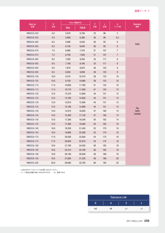| Item no.   | D         |            | Price 〈価格(円)〉 | $\boldsymbol{\ell}$ | L   | d                | <b>Remarks</b> |
|------------|-----------|------------|---------------|---------------------|-----|------------------|----------------|
| 型番         | 刃径        | <b>Non</b> | <b>TiALN</b>  | 刃長                  | 全長  | シャンク径            | 備考             |
| RM02CA-050 | 5.0       | 5,670      | 6,160         | 23                  | 86  | $\sqrt{5}$       |                |
| RM02CA-055 | 5.5       | 5,900      | 6,380         | 26                  | 86  | 5.5              |                |
| RM02CA-060 | 6.0       | 5,990      | 6,530         | 26                  | 93  | 6                |                |
| RM02CA-065 | 6.5       | 6,100      | 6,640         | 26                  | 93  | $\,6\,$          | Solid          |
| RM02CA-070 | 7.0       | 6,660      | 7,470         | 31                  | 107 | $\overline{7}$   |                |
| RM02CA-075 | 7.5       | 6,700      | 7,630         | 31                  | 107 | $\overline{7}$   |                |
| RM02CA-080 | $\bf 8.0$ | 7,050      | 8,030         | 33                  | 117 | $\bf 8$          |                |
| RM02CA-085 | 8.5       | 7,160      | 8,160         | 33                  | 117 | $\bf 8$          |                |
| RM02CA-090 | 9.0       | 7,870      | 8,870         | 36                  | 125 | $\boldsymbol{9}$ |                |
| RM02CA-095 | 9.5       | 8,050      | 9,090         | 36                  | 125 | $9\phantom{.0}$  |                |
| RM02CA-100 | 10.0      | 9,310      | 10,410        | 38                  | 133 | $10$             |                |
| RM02CA-105 | 10.5      | 9,720      | 10,880        | 38                  | 133 | $10$             |                |
| RM02CA-110 | 11.0      | 10,600     | 11,760        | 41                  | 142 | 10               |                |
| RM02CA-115 | 11.5      | 10,710     | 11,930        | 41                  | 142 | $12$             |                |
| RM02CA-120 | 12.0      | 12,370     | 13,900        | 44                  | 151 | 12               |                |
| RM02CA-125 | 12.5      | 13,180     | 14,830        | 44                  | 151 | 12               |                |
| RM02CA-130 | 13.0      | 13,910     | 15,560        | 44                  | 151 | 12               |                |
| RM02CA-135 | 13.5      | 14,180     | 15,890        | 44                  | 151 | 14               | <b>Top</b>     |
| RM02CA-140 | 14.0      | 14,910     | 16,620        | 47                  | 160 | 14               | Solid          |
| RM02CA-145 | 14.5      | 15,300     | 17,130        | 47                  | 160 | 14               | Carbide        |
| RM02CA-150 | 15.0      | 17,280     | 19,240        | 50                  | 162 | 14               |                |
| RM02CA-155 | 15.5      | 17,490     | 19,560        | $50\,$              | 162 | $16\,$           |                |
| RM02CA-160 | 16.0      | 19,250     | 21,450        | 52                  | 170 | 16               |                |
| RM02CA-165 | 16.5      | 19,960     | 22,280        | 52                  | 170 | $16\,$           |                |
| RM02CA-170 | 17.0      | 20,500     | 22,820        | 54                  | 175 | $16\,$           |                |
| RM02CA-175 | 17.5      | 20,820     | 23,270        | 54                  | 175 | $18$             |                |
| RM02CA-180 | 18.0      | 21,760     | 24,450        | 56                  | 182 | 18               |                |
| RM02CA-185 | 18.5      | 22,310     | 25,190        | 56                  | 182 | $18$             |                |
| RM02CA-190 | 19.0      | 26,190     | 29,500        | 58                  | 189 | $18\,$           |                |
| RM02CA-195 | 19.5      | 27,600     | 31,220        | 58                  | 189 | 20               |                |
| RM02CA-200 | 20.0      | 29,080     | 32,700        | $60\,$              | 195 | $20\,$           |                |

。上記以外のサイズについてはお問い合わせください•

•コート商品は型番の後にTiALNが付きます ex)型番-TiALN

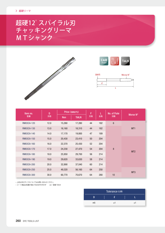## 超硬12°スパイラル刃 チャッキングリーマ MTシャンク







| Item no.   | D    |            | Price 〈価格(円)〉 | $\boldsymbol{\ell}$<br>L |     | No. of Flute     | Morse N°        |
|------------|------|------------|---------------|--------------------------|-----|------------------|-----------------|
| 型番         | 刃径   | <b>Non</b> | <b>TiALN</b>  | 刃長                       | 全長  | 刃数               |                 |
| RM03CA-120 | 12.0 | 15,260     | 17,280        | 44                       | 182 | $\boldsymbol{6}$ |                 |
| RM03CA-130 | 13.0 | 16,160     | 18,310        | 44                       | 182 |                  | MT <sub>1</sub> |
| RM03CA-140 | 14.0 | 17,170     | 19,800        | 47                       | 189 | $\bf 8$          |                 |
| RM03CA-150 | 15.0 | 20,430     | 23,410        | 50                       | 204 |                  | MT <sub>2</sub> |
| RM03CA-160 | 16.0 | 22,370     | 25,430        | 52                       | 204 |                  |                 |
| RM03CA-170 | 17.0 | 24,230     | 27,470        | 54                       | 204 |                  |                 |
| RM03CA-180 | 18.0 | 25,950     | 29,700        | 56                       | 214 |                  |                 |
| RM03CA-190 | 19.0 | 29,620     | 33,630        | 58                       | 214 |                  |                 |
| RM03CA-200 | 20.0 | 32,890     | 37,040        | 60                       | 214 |                  |                 |
| RM03CA-250 | 25.0 | 49,320     | 56,160        | 64                       | 250 |                  |                 |
| RM03CA-300 | 30.0 | 60,770     | 70,670        | 64                       | 280 | 10               | MT <sub>3</sub> |

。上記以外のサイズについてはお問い合わせください•

•コート商品は型番の後にTiALNが付きます ex)型番-TiALN

|                | Tolerance (公差) |    |
|----------------|----------------|----|
| n              |                |    |
| m <sub>5</sub> | ±1             | ۰. |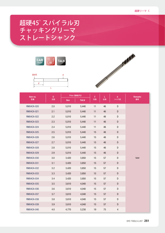# 超硬45°スパイラル刃 チャッキングリーマ ストレートシャンク





| Item no.   | D       | Price 〈価格(円)〉 |              | $\boldsymbol{\ell}$ | L  | $\mathbf d$ | <b>Remarks</b> |
|------------|---------|---------------|--------------|---------------------|----|-------------|----------------|
| 型番         | 刃径      | <b>Non</b>    | <b>TiALN</b> | 刃長                  | 全長 | シャンク径       | 備考             |
| RM04CA-020 | 2.0     | 5,010         | 5,440        | 11                  | 46 | ${\sf D}$   |                |
| RM04CA-021 | 2.1     | 5,010         | 5,440        | 11                  | 46 | D           |                |
| RM04CA-022 | 2.2     | 5,010         | 5,440        | 11                  | 46 | D           |                |
| RM04CA-023 | 2.3     | 5,010         | 5,440        | 11                  | 46 | ${\sf D}$   |                |
| RM04CA-024 | 2.4     | 5,010         | 5,440        | 11                  | 46 | ${\sf D}$   |                |
| RM04CA-025 | 2.5     | 5,010         | 5,440        | 15                  | 46 | ${\sf D}$   |                |
| RM04CA-026 | 2.6     | 5,010         | 5,440        | 15                  | 46 | D           |                |
| RM04CA-027 | 2.7     | 5,010         | 5,440        | 15                  | 46 | ${\sf D}$   |                |
| RM04CA-028 | 2.8     | 5,010         | 5,440        | 15                  | 46 | ${\sf D}$   |                |
| RM04CA-029 | 2.9     | 5,010         | 5,440        | 15                  | 46 | D           |                |
| RM04CA-030 | $3.0\,$ | 3,420         | 3,850        | 15                  | 57 | ${\sf D}$   | Solid          |
| RM04CA-031 | 3.1     | 3,420         | 3,850        | 15                  | 57 | D           |                |
| RM04CA-032 | 3.2     | 3,420         | 3,850        | 15                  | 57 | ${\sf D}$   |                |
| RM04CA-033 | 3.3     | 3,420         | 3,850        | 15                  | 57 | D           |                |
| RM04CA-034 | 3.4     | 3,420         | 3,850        | 15                  | 57 | ${\sf D}$   |                |
| RM04CA-035 | 3.5     | 3,610         | 4,040        | 15                  | 57 | D           |                |
| RM04CA-036 | 3.6     | 3,610         | 4,040        | 15                  | 57 | D           |                |
| RM04CA-037 | 3.7     | 3,610         | 4,040        | 15                  | 57 | D           |                |
| RM04CA-038 | 3.8     | 3,610         | 4,040        | 15                  | 57 | D           |                |
| RM04CA-039 | 3.9     | 3,610         | 4,040        | 15                  | 57 | D           |                |
| RM04CA-040 | 4.0     | 4,770         | 5,230        | 19                  | 75 | 4           |                |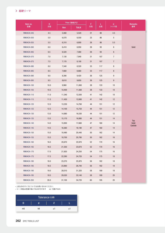| Item no.   | D         | Price 〈価格(円)〉 |              | $\boldsymbol{\ell}$ | L      | d                | <b>Remarks</b>   |
|------------|-----------|---------------|--------------|---------------------|--------|------------------|------------------|
| 型番         | 刃径        | <b>Non</b>    | <b>TIALN</b> | 刃長                  | 全長     | シャンク径            | 備考               |
| RM04CA-045 | 4.5       | 5,060         | 5,520        | 21                  | $80\,$ | 4.5              |                  |
| RM04CA-050 | $5.0\,$   | 6,070         | 6,550        | 23                  | 86     | 5                |                  |
| RM04CA-055 | $5.5\,$   | 6,310         | 6,800        | $26\,$              | 86     | $5.5\,$          |                  |
| RM04CA-060 | $6.0\,$   | 6,410         | 6,950        | 26                  | 93     | $\,6$            | Solid            |
| RM04CA-065 | $6.5\,$   | 6,520         | 7,060        | 26                  | 93     | $6\phantom{.0}$  |                  |
| RM04CA-070 | $7.0\,$   | 7,130         | 7,940        | 31                  | 107    | $\overline{7}$   |                  |
| RM04CA-075 | 7.5       | 7,170         | 8,100        | 31                  | 107    | $\overline{7}$   |                  |
| RM04CA-080 | $\bf 8.0$ | 7,540         | 8,520        | $33\,$              | 117    | 8                |                  |
| RM04CA-085 | 8.5       | 7,660         | 8,660        | 33                  | 117    | 8                |                  |
| RM04CA-090 | 9.0       | 8,390         | 9,420        | $36\,$              | 125    | $\boldsymbol{9}$ |                  |
| RM04CA-095 | $9.5\,$   | 8,610         | 9,650        | 36                  | 125    | $\boldsymbol{9}$ |                  |
| RM04CA-100 | 10.0      | 9,960         | 11,060       | $38\,$              | 133    | $10$             |                  |
| RM04CA-105 | 10.5      | 10,400        | 11,560       | 38                  | 133    | $10\,$           |                  |
| RM04CA-110 | 11.0      | 11,340        | 12,500       | 41                  | 142    | 10               |                  |
| RM04CA-115 | 11.5      | 11,450        | 12,680       | 41                  | 142    | 12               |                  |
| RM04CA-120 | 12.0      | 13,230        | 14,760       | 44                  | 151    | 12               |                  |
| RM04CA-125 | 12.5      | 14,100        | 15,750       | 44                  | 151    | $12$             |                  |
| RM04CA-130 | 13.0      | 14,880        | 16,530       | 44                  | 151    | 12               |                  |
| RM04CA-135 | 13.5      | 15,170        | 16,880       | 44                  | 151    | $14$             | Top              |
| RM04CA-140 | 14.0      | 15,950        | 17,660       | 47                  | 160    | 14               | Solid<br>Carbide |
| RM04CA-145 | 14.5      | 16,360        | 18,190       | 47                  | 160    | $14$             |                  |
| RM04CA-150 | 15.0      | 18,490        | 20,440       | $50\,$              | 162    | 14               |                  |
| RM04CA-155 | 15.5      | 18,700        | 20,780       | $50\,$              | 162    | 16               |                  |
| RM04CA-160 | 16.0      | 20,670        | 22,870       | 52                  | 170    | $16\,$           |                  |
| RM04CA-165 | 16.5      | 21,350        | 23,670       | 52                  | 170    | 16               |                  |
| RM04CA-170 | $17.0$    | 21,920        | 24,250       | 54                  | 175    | $16\,$           |                  |
| RM04CA-175 | 17.5      | 22,280        | 24,720       | 54                  | 175    | $18\,$           |                  |
| RM04CA-180 | 18.0      | 23,270        | 25,970       | 56                  | 182    | $18$             |                  |
| RM04CA-185 | 18.5      | 23,860        | 26,740       | 56                  | 182    | $18\,$           |                  |
| RM04CA-190 | 19.0      | 28,010        | 31,320       | 58                  | 189    | $18$             |                  |
| RM04CA-195 | 19.5      | 29,520        | 33,140       | 58                  | 189    | $20\,$           |                  |
| RM04CA-200 | 20.0      | 31,100        | 34,720       | 60                  | 195    | $20\,$           |                  |

•上記以外のサイズについてはお問い合わせください。

•コート商品は型番の後にTiALNが付きます — ex)型番-TiALN

|                |    | Tolerance (公差) |         |    |  |
|----------------|----|----------------|---------|----|--|
|                |    |                |         |    |  |
| m <sub>5</sub> | h8 |                | $\pm 1$ | ±1 |  |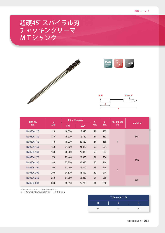## 超硬45°スパイラル刃 チャッキングリーマ MTシャンク







| Item no.          | D    | Price 〈価格(円)〉 |              | $\boldsymbol{\ell}$ |     | No. of Flute    |                 |
|-------------------|------|---------------|--------------|---------------------|-----|-----------------|-----------------|
| 型番                | 刃径   | <b>Non</b>    | <b>TIALN</b> | 刃長                  | 全長  | 刃数              | Morse N°        |
| RM05CA-120        | 12.0 | 16,020        | 18,040       | 44                  | 182 |                 | MT <sub>1</sub> |
| RM05CA-130        | 13.0 | 16,970        | 19,120       | 44                  | 182 | $\overline{4}$  |                 |
| RM05CA-140        | 14.0 | 18,030        | 20,650       | 47                  | 189 |                 |                 |
| <b>RM05CA-150</b> | 15.0 | 21,830        | 24,810       | 50                  | 204 |                 | MT <sub>2</sub> |
| <b>RM05CA-160</b> | 16.0 | 23,360        | 26,380       | 52                  | 204 |                 |                 |
| <b>RM05CA-170</b> | 17.0 | 25,440        | 28,680       | 54                  | 204 |                 |                 |
| <b>RM05CA-180</b> | 18.0 | 27,250        | 30,990       | 56                  | 214 |                 |                 |
| RM05CA-190        | 19.0 | 31,100        | 35,370       | 58                  | 214 | $6\phantom{1}6$ |                 |
| RM05CA-200        | 20.0 | 34,530        | 38,690       | 60                  | 214 |                 |                 |
| RM05CA-250        | 25.0 | 51,390        | 58,230       | 64                  | 250 |                 | MT <sub>3</sub> |
| RM05CA-300        | 30.0 | 65,810        | 75,700       | 64                  | 280 |                 |                 |

• 上記以外のサイズについてはお問い合わせください。

ーコー・……<br>・コート商品は型番の後にTiALNが付きます ex)型番-TiALN

|                | Tolerance (公差) |    |
|----------------|----------------|----|
|                |                |    |
| m <sub>5</sub> | $+1$           | +1 |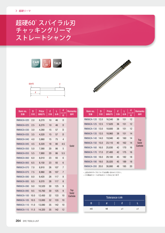# 超硬60°スパイラル刃 チャッキングリーマ ストレートシャンク





| Item no.<br>型番    | D<br>刃径 | <b>Price</b><br>価格(円) | $\boldsymbol{\ell}$<br>刃長 | L<br>全長 | d<br>シャンク<br>径 | <b>Remarks</b><br>備考       |
|-------------------|---------|-----------------------|---------------------------|---------|----------------|----------------------------|
| <b>RM06CA-020</b> | 2.0     | 6,270                 | 10                        | 46      | D              |                            |
| <b>RM06CA-025</b> | 2.5     | 6,270                 | 10                        | 46      | D              |                            |
| <b>RM06CA-030</b> | 3.0     | 4,280                 | 15                        | 57      | D              |                            |
| <b>RM06CA-035</b> | 3.5     | 4,520                 | 15                        | 57      | D              |                            |
| <b>RM06CA-040</b> | 4.0     | 5,960                 | 15                        | 75      | $\overline{4}$ |                            |
| <b>RM06CA-045</b> | 4.5     | 6,320                 | 18                        | 80      | 4.5            | Solid                      |
| <b>RM06CA-050</b> | 5.0     | 7,580                 | 20                        | 86      | 5              |                            |
| <b>RM06CA-055</b> | 5.5     | 7,880                 | 20                        | 86      | 5.5            |                            |
| <b>RM06CA-060</b> | 6.0     | 8,010                 | 23                        | 93      | 6              |                            |
| <b>RM06CA-065</b> | 6.5     | 8,150                 | 23                        | 93      | 6              |                            |
| <b>RM06CA-070</b> | 7.0     | 8,910                 | 26                        | 107     | $\overline{7}$ |                            |
| <b>RM06CA-075</b> | 7.5     | 8,960                 | 26                        | 107     | 7              |                            |
| <b>RM06CA-080</b> | 8.0     | 9,420                 | 28                        | 117     | 8              |                            |
| <b>RM06CA-085</b> | 8.5     | 9,570                 | 28                        | 117     | 8              |                            |
| <b>RM06CA-090</b> | 9.0     | 10,520                | 30                        | 125     | 9              |                            |
| <b>RM06CA-095</b> | 9.5     | 10,760                | 30                        | 125     | 9              | <b>Top</b><br><b>Solid</b> |
| RM06CA-100        | 10.0    | 12,450                | 32                        | 133     | 10             | Carbide                    |
| <b>RM06CA-105</b> | 10.5    | 13,000                | 32                        | 133     | 10             |                            |
| RM06CA-110        | 11.0    | 13,080                | 35                        | 142     | 10             |                            |
| RM06CA-115        | 11.5    | 14,320                | 35                        | 142     | 12             |                            |



| Item no.<br>型番 | D<br>刃径 | Price<br>価格(円) | $\boldsymbol{\ell}$<br>刃長 | 全長  | d<br>シャンク<br>径 | <b>Remarks</b><br>備考 |
|----------------|---------|----------------|---------------------------|-----|----------------|----------------------|
| RM06CA-120     | 12.0    | 16,540         | 36                        | 151 | 12             |                      |
| RM06CA-125     | 12.5    | 17,620         | 36                        | 151 | 12             |                      |
| RM06CA-130     | 13.0    | 18,600         | 38                        | 151 | 12             |                      |
| RM06CA-135     | 13.5    | 18,960         | 38                        | 151 | 14             |                      |
| RM06CA-140     | 14.0    | 19,940         | 40                        | 160 | 14             | <b>Top</b>           |
| RM06CA-150     | 15.0    | 23,110         | 40                        | 162 | 14             | <b>Solid</b>         |
| RM06CA-160     | 16.0    | 25,830         | 42                        | 170 | 16             | Carbide              |
| RM06CA-170     | 17.0    | 27,400         | 42                        | 175 | 16             |                      |
| RM06CA-180     | 18.0    | 29,100         | 45                        | 182 | 18             |                      |
| RM06CA-190     | 19.0    | 35,020         | 45                        | 189 | 18             |                      |
| RM06CA-200     | 20.0    | 38,880         | 48                        | 195 | 20             |                      |

。上記以外のサイズについてはお問い合わせください•

この商品のコートはTiALNコートのみとなります•

| Tolerance (公差) |  |    |  |      |  |    |  |
|----------------|--|----|--|------|--|----|--|
|                |  |    |  |      |  |    |  |
| m <sub>5</sub> |  | h8 |  | $+1$ |  | ±1 |  |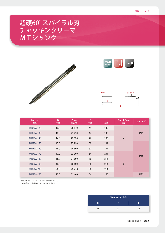## 超硬60°スパイラル刃 チャッキングリーマ MTシャンク







| Item no.<br>型番    | D<br>刃径 | <b>Price</b><br>価格(円) | $\boldsymbol{\ell}$<br>刃長 | L<br>全長 | No. of Flute<br>刃数 | Morse N°        |
|-------------------|---------|-----------------------|---------------------------|---------|--------------------|-----------------|
| <b>RM07CA-120</b> | 12.0    | 20,870                | 44                        | 182     |                    | MT <sub>1</sub> |
| RM07CA-130        | 13.0    | 21,210                | 44                        | 182     |                    |                 |
| <b>RM07CA-140</b> | 14.0    | 22,530                | 47                        | 189     | $\overline{4}$     |                 |
| <b>RM07CA-150</b> | 15.0    | 27,990                | 50                        | 204     |                    |                 |
| <b>RM07CA-160</b> | 16.0    | 30,500                | 52                        | 204     |                    |                 |
| RM07CA-170        | 17.0    | 32,360                | 54                        | 204     |                    | MT <sub>2</sub> |
| <b>RM07CA-180</b> | 18.0    | 34,060                | 56                        | 214     | $6\phantom{1}$     |                 |
| <b>RM07CA-190</b> | 19.0    | 38,520                | 58                        | 214     |                    |                 |
| <b>RM07CA-200</b> | 20.0    | 42,770                | 60                        | 214     |                    |                 |
| <b>RM07CA-250</b> | 25.0    | 53,460                | 64                        | 250     |                    | MT <sub>3</sub> |

。上記以外のサイズについてはお問い合わせください•

この商品のコートはTiALNコートのみとなります•

| Tolerance (公差) |      |      |  |  |  |  |
|----------------|------|------|--|--|--|--|
|                |      |      |  |  |  |  |
| m <sub>5</sub> | $+1$ | $^+$ |  |  |  |  |